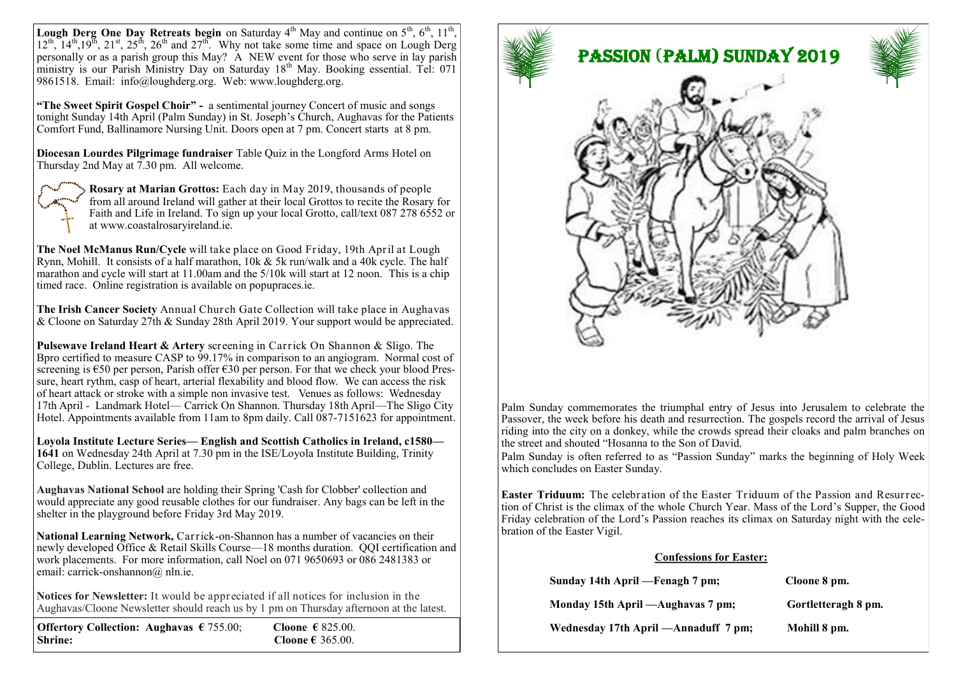**Lough Derg One Day Retreats begin** on Saturday  $4<sup>th</sup>$  May and continue on  $5<sup>th</sup>$ ,  $6<sup>th</sup>$ ,  $11<sup>th</sup>$ ,  $12^{\text{th}}$ ,  $14^{\text{th}}$ ,  $19^{\text{th}}$ ,  $21^{\text{st}}$ ,  $25^{\text{th}}$ ,  $26^{\text{th}}$  and  $27^{\text{th}}$ . Why not take some time and space on Lough Derg personally or as a parish group this May? A NEW event for those who serve in lay parish ministry is our Parish Ministry Day on Saturday 18<sup>th</sup> May. Booking essential. Tel: 071 9861518. Email: [info@loughderg.org.](mailto:info@loughderg.org) Web: www.loughderg.org.

**"The Sweet Spirit Gospel Choir" -** a sentimental journey Concert of music and songs tonight Sunday 14th April (Palm Sunday) in St. Joseph's Church, Aughavas for the Patients Comfort Fund, Ballinamore Nursing Unit. Doors open at 7 pm. Concert starts at 8 pm.

**Diocesan Lourdes Pilgrimage fundraiser** Table Quiz in the Longford Arms Hotel on Thursday 2nd May at  $\overline{7.30}$  pm. All welcome.



**Rosary at Marian Grottos:** Each day in May 2019, thousands of people from all around Ireland will gather at their local Grottos to recite the Rosary for Faith and Life in Ireland. To sign up your local Grotto, call/text 087 278 6552 or at www.coastalrosaryireland.ie.

**The Noel McManus Run/Cycle** will take place on Good Friday, 19th April at Lough Rynn, Mohill. It consists of a half marathon,  $10k \& 5k$  run/walk and a 40k cycle. The half marathon and cycle will start at 11.00am and the 5/10k will start at 12 noon. This is a chip timed race. Online registration is available on [popupraces.ie.](http://popupraces.ie/)

**The Irish Cancer Society** Annual Church Gate Collection will take place in Aughavas & Cloone on Saturday 27th & Sunday 28th April 2019. Your support would be appreciated.

**Pulsewave Ireland Heart & Artery** screening in Carrick On Shannon & Sligo. The Bpro certified to measure CASP to 99.17% in comparison to an angiogram. Normal cost of screening is €50 per person, Parish offer €30 per person. For that we check your blood Pressure, heart rythm, casp of heart, arterial flexability and blood flow. We can access the risk of heart attack or stroke with a simple non invasive test. Venues as follows: Wednesday 17th April - Landmark Hotel— Carrick On Shannon. Thursday 18th April—The Sligo City Hotel. Appointments available from 11am to 8pm daily. Call 087-7151623 for appointment.

**Loyola Institute Lecture Series— English and Scottish Catholics in Ireland, c1580— 1641** on Wednesday 24th April at 7.30 pm in the ISE/Loyola Institute Building, Trinity College, Dublin. Lectures are free.

**Aughavas National School** are holding their Spring 'Cash for Clobber' collection and would appreciate any good reusable clothes for our fundraiser. Any bags can be left in the shelter in the playground before Friday 3rd May 2019.

**National Learning Network,** Carrick-on-Shannon has a number of vacancies on their newly developed Office & Retail Skills Course—18 months duration. QQI certification and work placements. For more information, call Noel on 071 9650693 or 086 2481383 or email: carrick-onshannon@ nln.ie.

**Notices for Newsletter:** It would be appreciated if all notices for inclusion in the Aughavas/Cloone Newsletter should reach us by 1 pm on Thursday afternoon at the latest.

| Offertory Collection: Aughavas $\epsilon$ 755.00; | Cloone € 825.00. |
|---------------------------------------------------|------------------|
| <b>Shrine:</b>                                    | Cloone € 365.00. |



Palm Sunday commemorates the triumphal entry of Jesus into Jerusalem to celebrate the Passover, the week before his death and resurrection. The gospels record the arrival of Jesus riding into the city on a donkey, while the crowds spread their cloaks and palm branches on the street and shouted "Hosanna to the Son of David.

Palm Sunday is often referred to as "Passion Sunday" marks the beginning of Holy Week which concludes on Easter Sunday.

**Easter Triduum:** The celebration of the Easter Triduum of the Passion and Resurrection of Christ is the climax of the whole Church Year. Mass of the Lord's Supper, the Good Friday celebration of the Lord's Passion reaches its climax on Saturday night with the celebration of the Easter Vigil.

## **Confessions for Easter:**

| Sunday 14th April — Fenagh 7 pm;      | Cloone 8 pm.        |
|---------------------------------------|---------------------|
| Monday 15th April — Aughavas 7 pm;    | Gortletteragh 8 pm. |
| Wednesday 17th April — Annaduff 7 pm; | Mohill 8 pm.        |